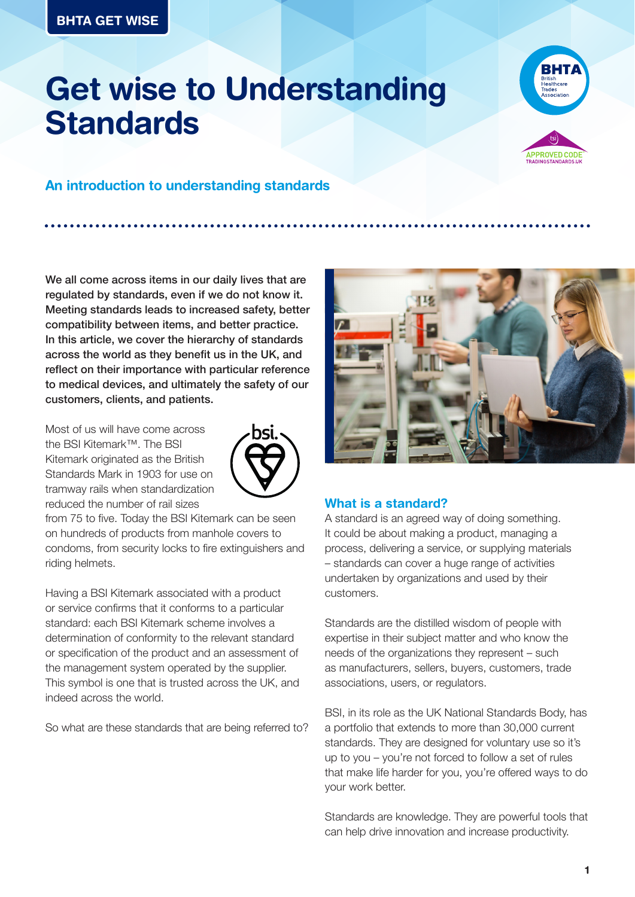# **Get wise to Understanding Standards**





## **An introduction to understanding standards**

We all come across items in our daily lives that are regulated by standards, even if we do not know it. Meeting standards leads to increased safety, better compatibility between items, and better practice. In this article, we cover the hierarchy of standards across the world as they benefit us in the UK, and reflect on their importance with particular reference to medical devices, and ultimately the safety of our customers, clients, and patients.

Most of us will have come across the BSI Kitemark™. The BSI Kitemark originated as the British Standards Mark in 1903 for use on tramway rails when standardization reduced the number of rail sizes



from 75 to five. Today the BSI Kitemark can be seen on hundreds of products from manhole covers to condoms, from security locks to fire extinguishers and riding helmets.

Having a BSI Kitemark associated with a product or service confirms that it conforms to a particular standard: each BSI Kitemark scheme involves a determination of conformity to the relevant standard or specification of the product and an assessment of the management system operated by the supplier. This symbol is one that is trusted across the UK, and indeed across the world.

So what are these standards that are being referred to?



#### **What is a standard?**

A standard is an agreed way of doing something. It could be about making a product, managing a process, delivering a service, or supplying materials – standards can cover a huge range of activities undertaken by organizations and used by their customers.

Standards are the distilled wisdom of people with expertise in their subject matter and who know the needs of the organizations they represent – such as manufacturers, sellers, buyers, customers, trade associations, users, or regulators.

BSI, in its role as the UK National Standards Body, has a portfolio that extends to more than 30,000 current standards. They are designed for voluntary use so it's up to you – you're not forced to follow a set of rules that make life harder for you, you're offered ways to do your work better.

Standards are knowledge. They are powerful tools that can help drive innovation and increase productivity.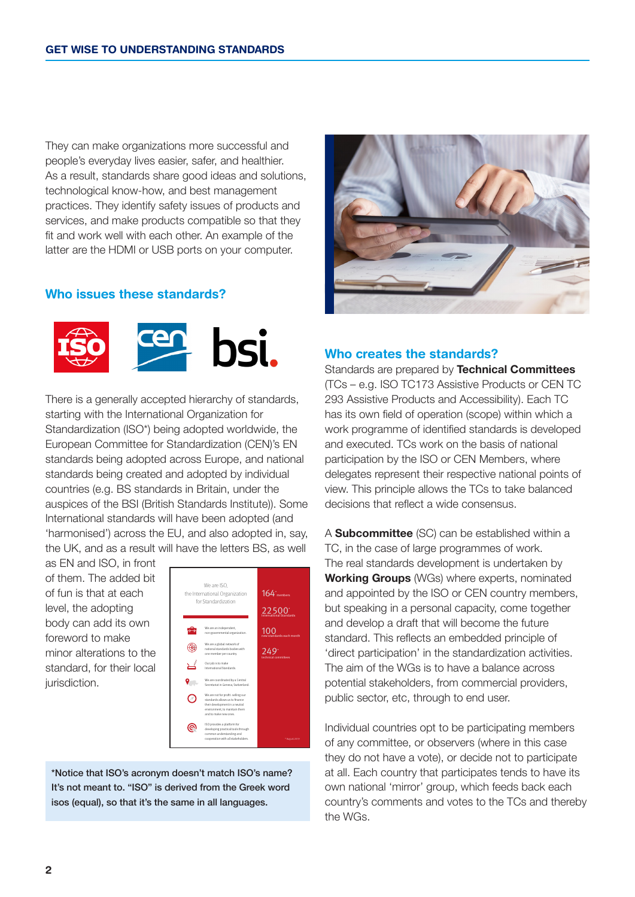They can make organizations more successful and people's everyday lives easier, safer, and healthier. As a result, standards share good ideas and solutions, technological know-how, and best management practices. They identify safety issues of products and services, and make products compatible so that they fit and work well with each other. An example of the latter are the HDMI or USB ports on your computer.

## **Who issues these standards?**



There is a generally accepted hierarchy of standards, starting with the International Organization for Standardization (ISO\*) being adopted worldwide, the European Committee for Standardization (CEN)'s EN standards being adopted across Europe, and national standards being created and adopted by individual countries (e.g. BS standards in Britain, under the auspices of the BSI (British Standards Institute)). Some International standards will have been adopted (and 'harmonised') across the EU, and also adopted in, say, the UK, and as a result will have the letters BS, as well

as EN and ISO, in front of them. The added bit of fun is that at each level, the adopting body can add its own foreword to make minor alterations to the standard, for their local jurisdiction.



\*Notice that ISO's acronym doesn't match ISO's name? It's not meant to. "ISO" is derived from the Greek word isos (equal), so that it's the same in all languages.



## **Who creates the standards?**

Standards are prepared by **Technical Committees** (TCs – e.g. ISO TC173 Assistive Products or CEN TC 293 Assistive Products and Accessibility). Each TC has its own field of operation (scope) within which a work programme of identified standards is developed and executed. TCs work on the basis of national participation by the ISO or CEN Members, where delegates represent their respective national points of view. This principle allows the TCs to take balanced decisions that reflect a wide consensus.

A **Subcommittee** (SC) can be established within a TC, in the case of large programmes of work. The real standards development is undertaken by **Working Groups** (WGs) where experts, nominated and appointed by the ISO or CEN country members, but speaking in a personal capacity, come together and develop a draft that will become the future standard. This reflects an embedded principle of 'direct participation' in the standardization activities. The aim of the WGs is to have a balance across potential stakeholders, from commercial providers, public sector, etc, through to end user.

Individual countries opt to be participating members of any committee, or observers (where in this case they do not have a vote), or decide not to participate at all. Each country that participates tends to have its own national 'mirror' group, which feeds back each country's comments and votes to the TCs and thereby the WGs.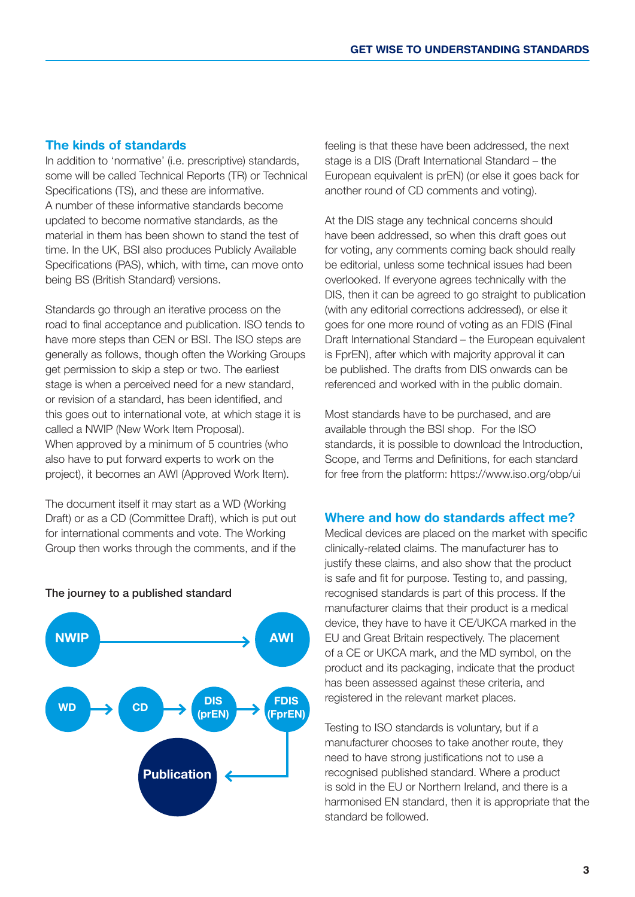## **The kinds of standards**

In addition to 'normative' (i.e. prescriptive) standards, some will be called Technical Reports (TR) or Technical Specifications (TS), and these are informative. A number of these informative standards become updated to become normative standards, as the material in them has been shown to stand the test of time. In the UK, BSI also produces Publicly Available Specifications (PAS), which, with time, can move onto being BS (British Standard) versions.

Standards go through an iterative process on the road to final acceptance and publication. ISO tends to have more steps than CEN or BSI. The ISO steps are generally as follows, though often the Working Groups get permission to skip a step or two. The earliest stage is when a perceived need for a new standard, or revision of a standard, has been identified, and this goes out to international vote, at which stage it is called a NWIP (New Work Item Proposal). When approved by a minimum of 5 countries (who also have to put forward experts to work on the project), it becomes an AWI (Approved Work Item).

The document itself it may start as a WD (Working Draft) or as a CD (Committee Draft), which is put out for international comments and vote. The Working Group then works through the comments, and if the



#### The journey to a published standard

feeling is that these have been addressed, the next stage is a DIS (Draft International Standard – the European equivalent is prEN) (or else it goes back for another round of CD comments and voting).

At the DIS stage any technical concerns should have been addressed, so when this draft goes out for voting, any comments coming back should really be editorial, unless some technical issues had been overlooked. If everyone agrees technically with the DIS, then it can be agreed to go straight to publication (with any editorial corrections addressed), or else it goes for one more round of voting as an FDIS (Final Draft International Standard – the European equivalent is FprEN), after which with majority approval it can be published. The drafts from DIS onwards can be referenced and worked with in the public domain.

Most standards have to be purchased, and are available through the BSI shop. For the ISO standards, it is possible to download the Introduction, Scope, and Terms and Definitions, for each standard for free from the platform: https://www.iso.org/obp/ui

### **Where and how do standards affect me?**

Medical devices are placed on the market with specific clinically-related claims. The manufacturer has to justify these claims, and also show that the product is safe and fit for purpose. Testing to, and passing, recognised standards is part of this process. If the manufacturer claims that their product is a medical device, they have to have it CE/UKCA marked in the EU and Great Britain respectively. The placement of a CE or UKCA mark, and the MD symbol, on the product and its packaging, indicate that the product has been assessed against these criteria, and registered in the relevant market places.

Testing to ISO standards is voluntary, but if a manufacturer chooses to take another route, they need to have strong justifications not to use a recognised published standard. Where a product is sold in the EU or Northern Ireland, and there is a harmonised EN standard, then it is appropriate that the standard be followed.